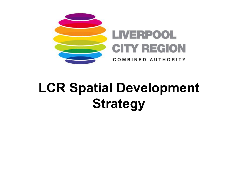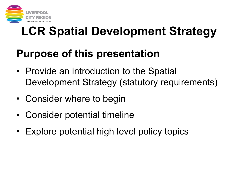

### **Purpose of this presentation**

- Provide an introduction to the Spatial Development Strategy (statutory requirements)
- Consider where to begin
- Consider potential timeline
- Explore potential high level policy topics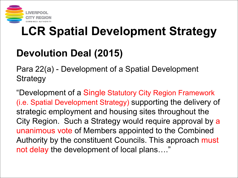

### **Devolution Deal (2015)**

Para 22(a) - Development of a Spatial Development **Strategy** 

"Development of a Single Statutory City Region Framework (i.e. Spatial Development Strategy) supporting the delivery of strategic employment and housing sites throughout the City Region. Such a Strategy would require approval by a unanimous vote of Members appointed to the Combined Authority by the constituent Councils. This approach must not delay the development of local plans…."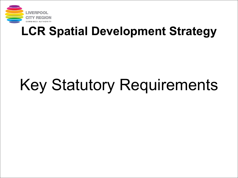

# Key Statutory Requirements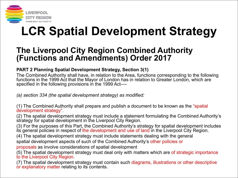

### **The Liverpool City Region Combined Authority (Functions and Amendments) Order 2017**

#### **PART 2 Planning Spatial Development Strategy, Section 3(1)**

The Combined Authority shall have, in relation to the Area, functions corresponding to the following functions in the 1999 Act that the Mayor of London has in relation to Greater London, which are specified in the following provisions in the 1999 Act—-

*(a) section 334 (the spatial development strategy) as modified:*

(1) The Combined Authority shall prepare and publish a document to be known as the "spatial development strategy".

(2) The spatial development strategy must include a statement formulating the Combined Authority's strategy for spatial development in the Liverpool City Region.

(3) For the purposes of this Part, the Combined Authority's strategy for spatial development includes its general policies in respect of the development and use of land in the Liverpool City Region.

(4) The spatial development strategy must include statements dealing with the general

spatial development aspects of such of the Combined Authority's other policies or

proposals as involve considerations of spatial development

(5) The spatial development strategy must deal only with matters which are of strategic importance to the Liverpool City Region.

(7) The spatial development strategy must contain such diagrams, illustrations or other descriptive or explanatory matter relating to its contents.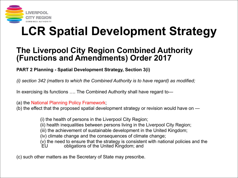

### **The Liverpool City Region Combined Authority (Functions and Amendments) Order 2017**

#### **PART 2 Planning - Spatial Development Strategy, Section 3(i)**

*(i) section 342 (matters to which the Combined Authority is to have regard) as modified;*

In exercising its functions …. The Combined Authority shall have regard to—

(a) the National Planning Policy Framework;

(b) the effect that the proposed spatial development strategy or revision would have on —

(i) the health of persons in the Liverpool City Region; (ii) health inequalities between persons living in the Liverpool City Region; (iii) the achievement of sustainable development in the United Kingdom; (iv) climate change and the consequences of climate change;  $(v)$  the need to ensure that the strategy is consistent with national policies and the  $\overline{EU}$ obligations of the United Kingdom; and

(c) such other matters as the Secretary of State may prescribe.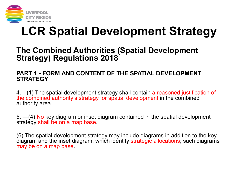

### **The Combined Authorities (Spatial Development Strategy) Regulations 2018**

#### **PART 1 - FORM AND CONTENT OF THE SPATIAL DEVELOPMENT STRATEGY**

4.—(1) The spatial development strategy shall contain a reasoned justification of the combined authority's strategy for spatial development in the combined authority area.

5. —(4) No key diagram or inset diagram contained in the spatial development strategy shall be on a map base.

(6) The spatial development strategy may include diagrams in addition to the key diagram and the inset diagram, which identify strategic allocations; such diagrams may be on a map base.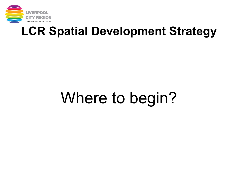

# Where to begin?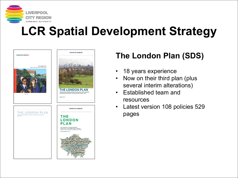



### **The London Plan (SDS)**

- 18 years experience
- Now on their third plan (plus several interim alterations)
- Established team and resources
- Latest version 108 policies 529 pages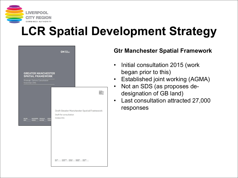

|                                                                                                                            | <b>GM</b> SPATIAL                                                                                        |                                                                                             |
|----------------------------------------------------------------------------------------------------------------------------|----------------------------------------------------------------------------------------------------------|---------------------------------------------------------------------------------------------|
| <b>GREATER MANCHESTER</b><br><b>SPATIAL FRAMEWORK</b><br><b>Strategic Options Consultation</b>                             |                                                                                                          |                                                                                             |
| November 2015<br><b>BOLTON</b><br>MANCHESTER ROCHDALE<br>STOCKF<br>TAMES<br><b>OLDHAM</b><br><b>SALFORD</b><br><b>BURY</b> | Draft for consultation<br>October 2016                                                                   | <b>GREATER</b><br><b>HANCHEST</b><br>FRAMEWOL<br>Draft Greater Manchester Spatial Framework |
|                                                                                                                            | $\underbrace{\text{MANGHISTER}}_{\text{OLCHAM}} \underbrace{\text{ROGMDALE}}_{\text{SLI-OMD}}$<br>BOLTON | STOCKPORT TRAFFORD                                                                          |

#### **Gtr Manchester Spatial Framework**

- Initial consultation 2015 (work began prior to this)
- Established joint working (AGMA)
- Not an SDS (as proposes de designation of GB land)
- Last consultation attracted 27,000 responses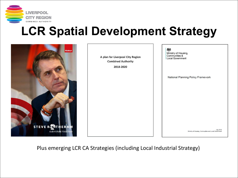



Plus emerging LCR CA Strategies (including Local Industrial Strategy)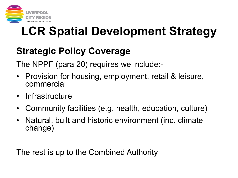

### **Strategic Policy Coverage**

The NPPF (para 20) requires we include:-

- Provision for housing, employment, retail & leisure, commercial
- Infrastructure
- Community facilities (e.g. health, education, culture)
- Natural, built and historic environment (inc. climate change)

The rest is up to the Combined Authority